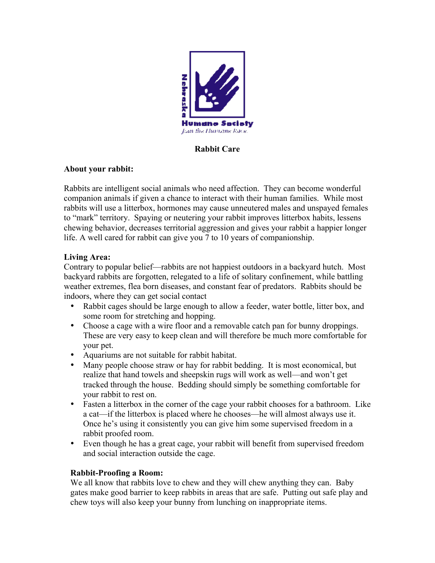

# Rabbit Care

#### About your rabbit:

Rabbits are intelligent social animals who need affection. They can become wonderful companion animals if given a chance to interact with their human families. While most rabbits will use a litterbox, hormones may cause unneutered males and unspayed females to "mark" territory. Spaying or neutering your rabbit improves litterbox habits, lessens chewing behavior, decreases territorial aggression and gives your rabbit a happier longer life. A well cared for rabbit can give you 7 to 10 years of companionship.

# Living Area:

Contrary to popular belief—rabbits are not happiest outdoors in a backyard hutch. Most backyard rabbits are forgotten, relegated to a life of solitary confinement, while battling weather extremes, flea born diseases, and constant fear of predators. Rabbits should be indoors, where they can get social contact

- Rabbit cages should be large enough to allow a feeder, water bottle, litter box, and some room for stretching and hopping.
- Choose a cage with a wire floor and a removable catch pan for bunny droppings. These are very easy to keep clean and will therefore be much more comfortable for your pet.
- Aquariums are not suitable for rabbit habitat.
- Many people choose straw or hay for rabbit bedding. It is most economical, but realize that hand towels and sheepskin rugs will work as well—and won't get tracked through the house. Bedding should simply be something comfortable for your rabbit to rest on.
- Fasten a litterbox in the corner of the cage your rabbit chooses for a bathroom. Like a cat—if the litterbox is placed where he chooses—he will almost always use it. Once he's using it consistently you can give him some supervised freedom in a rabbit proofed room.
- Even though he has a great cage, your rabbit will benefit from supervised freedom and social interaction outside the cage.

# Rabbit-Proofing a Room:

We all know that rabbits love to chew and they will chew anything they can. Baby gates make good barrier to keep rabbits in areas that are safe. Putting out safe play and chew toys will also keep your bunny from lunching on inappropriate items.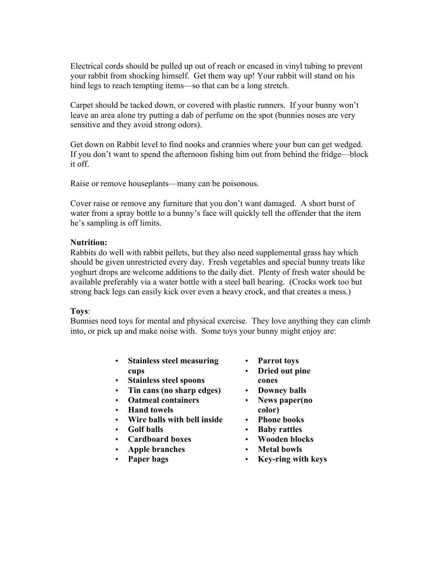Electrical cords should be pulled up out of reach or encased in vinyl tubing to prevent your rabbit from shocking himself. Get them way up! Your rabbit will stand on his hind legs to reach tempting items—so that can be a long stretch.

Carpet should be tacked down, or covered with plastic runners. If your bunny won't leave an area alone try putting a dab of perfume on the spot (bunnies noses are very sensitive and they avoid strong odors).

Get down on Rabbit level to find nooks and crannies where your bun can get wedged. If you don't want to spend the afternoon fishing him out from behind the fridge—block it off.

Raise or remove houseplants—many can be poisonous.

Cover raise or remove any furniture that you don't want damaged. A short burst of water from a spray bottle to a bunny's face will quickly tell the offender that the item he's sampling is off limits.

#### Nutrition:

Rabbits do well with rabbit pellets, but they also need supplemental grass hay which should be given unrestricted every day. Fresh vegetables and special bunny treats like yoghurt drops are welcome additions to the daily diet. Plenty of fresh water should be available preferably via a water bottle with a steel ball bearing. (Crocks work too but strong back legs can easily kick over even a heavy crock, and that creates a mess.)

#### Toys:

Bunnies need toys for mental and physical exercise. They love anything they can climb into, or pick up and make noise with. Some toys your bunny might enjoy are:

- Stainless steel measuring cups
- Stainless steel spoons
- Tin cans (no sharp edges)
- Oatmeal containers
- Hand towels
- Wire balls with bell inside
- Golf balls
- Cardboard boxes
- Apple branches
- Paper bags
- Parrot toys
- Dried out pine cones
- Downey balls
- News paper(no color)
- Phone books
- Baby rattles
- Wooden blocks
- Metal bowls
- Key-ring with keys